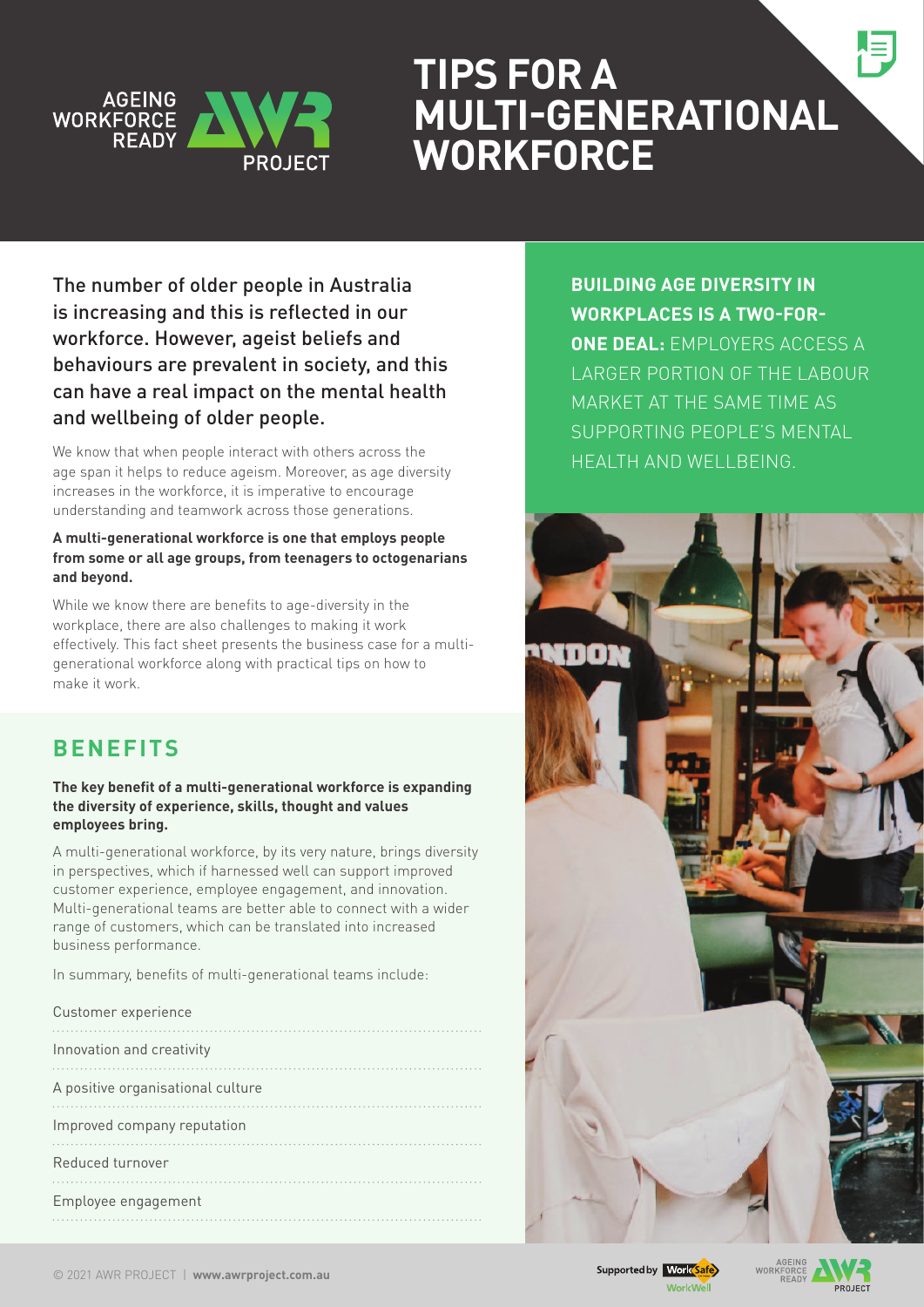

# **Tips for a multi-generational workforce**

The number of older people in Australia is increasing and this is reflected in our workforce. However, ageist beliefs and behaviours are prevalent in society, and this can have a real impact on the mental health and wellbeing of older people.

We know that when people interact with others across the age span it helps to reduce ageism. Moreover, as age diversity increases in the workforce, it is imperative to encourage understanding and teamwork across those generations.

### **A multi-generational workforce is one that employs people from some or all age groups, from teenagers to octogenarians and beyond.**

While we know there are benefits to age-diversity in the workplace, there are also challenges to making it work effectively. This fact sheet presents the business case for a multigenerational workforce along with practical tips on how to make it work.

## **BENEFITS**

#### **The key benefit of a multi-generational workforce is expanding the diversity of experience, skills, thought and values employees bring.**

A multi-generational workforce, by its very nature, brings diversity in perspectives, which if harnessed well can support improved customer experience, employee engagement, and innovation. Multi-generational teams are better able to connect with a wider range of customers, which can be translated into increased business performance.

In summary, benefits of multi-generational teams include:

| Customer experience               |
|-----------------------------------|
| Innovation and creativity         |
| A positive organisational culture |
| Improved company reputation       |
| Reduced turnover                  |
| Employee engagement               |

**BUILDING AGE DIVERSITY IN workplaces is a two-forone deal:** employers access a larger portion of the labour market at the same time as supporting people's mental **HEALTH AND WELL BEING.** 



**DROIECT**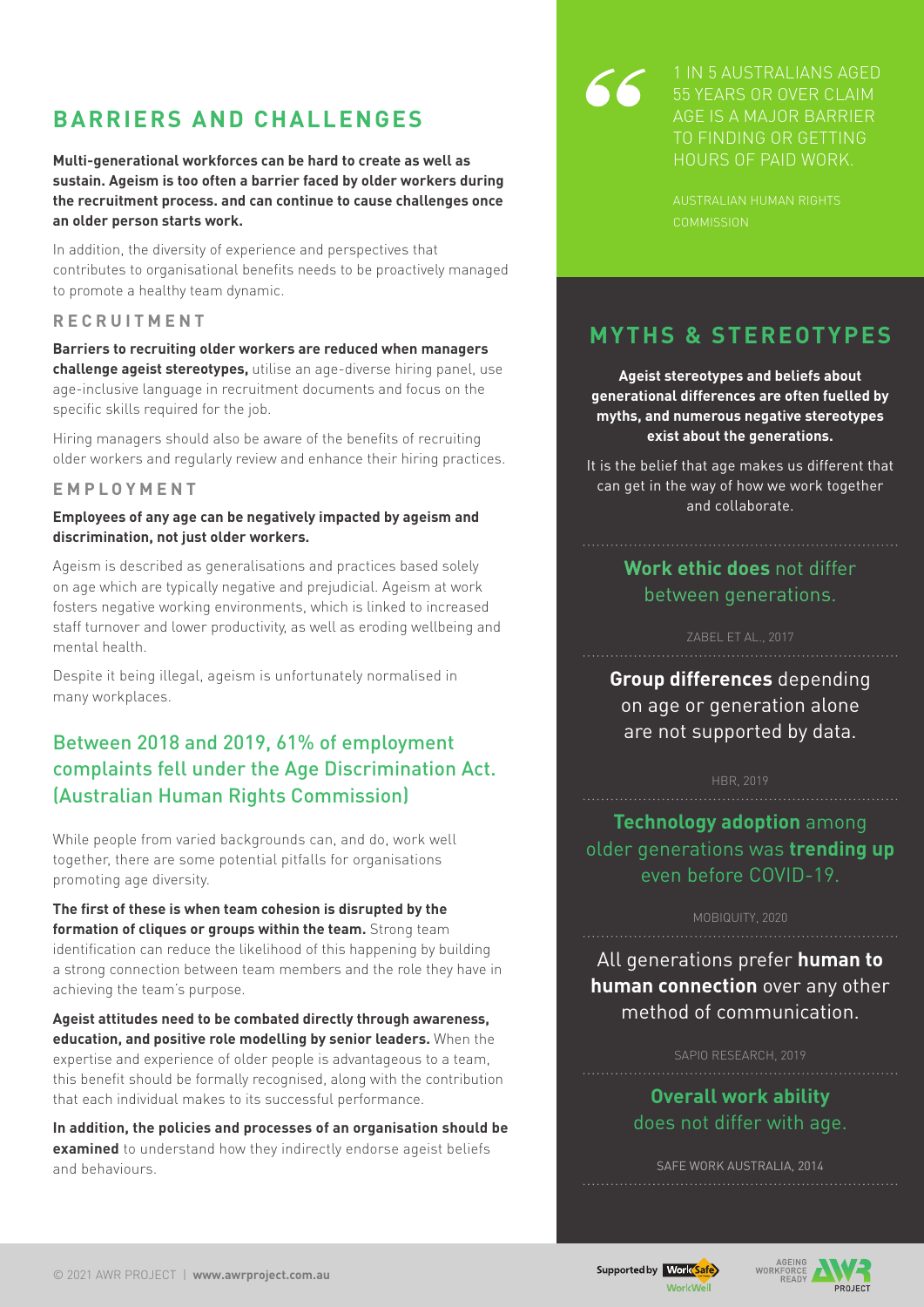## **BARRIERS AND CHALLENGES**

**Multi-generational workforces can be hard to create as well as sustain. Ageism is too often a barrier faced by older workers during the recruitment process. and can continue to cause challenges once an older person starts work.** 

In addition, the diversity of experience and perspectives that contributes to organisational benefits needs to be proactively managed to promote a healthy team dynamic.

#### **RECRUI T MEN T**

**Barriers to recruiting older workers are reduced when managers challenge ageist stereotypes,** utilise an age-diverse hiring panel, use age-inclusive language in recruitment documents and focus on the specific skills required for the job.

Hiring managers should also be aware of the benefits of recruiting older workers and regularly review and enhance their hiring practices.

#### **EMPLOYMEN T**

#### **Employees of any age can be negatively impacted by ageism and discrimination, not just older workers.**

Ageism is described as generalisations and practices based solely on age which are typically negative and prejudicial. Ageism at work fosters negative working environments, which is linked to increased staff turnover and lower productivity, as well as eroding wellbeing and mental health.

Despite it being illegal, ageism is unfortunately normalised in many workplaces.

## Between 2018 and 2019, 61% of employment complaints fell under the Age Discrimination Act. (Australian Human Rights Commission)

While people from varied backgrounds can, and do, work well together, there are some potential pitfalls for organisations promoting age diversity.

**The first of these is when team cohesion is disrupted by the formation of cliques or groups within the team.** Strong team identification can reduce the likelihood of this happening by building a strong connection between team members and the role they have in achieving the team's purpose.

**Ageist attitudes need to be combated directly through awareness, education, and positive role modelling by senior leaders.** When the expertise and experience of older people is advantageous to a team, this benefit should be formally recognised, along with the contribution that each individual makes to its successful performance.

**In addition, the policies and processes of an organisation should be examined** to understand how they indirectly endorse ageist beliefs and behaviours.

1 in 5 australians aged 55 years or over claim age is a major barrier to finding or getting hours of paid work.

australian human rights

## **MYTHS & STEREOTYPES**

**Ageist stereotypes and beliefs about generational differences are often fuelled by myths, and numerous negative stereotypes exist about the generations.** 

It is the belief that age makes us different that can get in the way of how we work together and collaborate.

## **Work ethic does** not differ between generations.

**Group differences** depending on age or generation alone are not supported by data.

#### HBR, 2019

**Technology adoption** among older generations was **trending up** even before COVID-19.

#### MOBIQUITY, 2020

All generations prefer **human to human connection** over any other method of communication.

#### SAPIO RESEARCH, 2019

## **Overall work ability** does not differ with age.

SAFE WORK AUSTRALIA, 2014